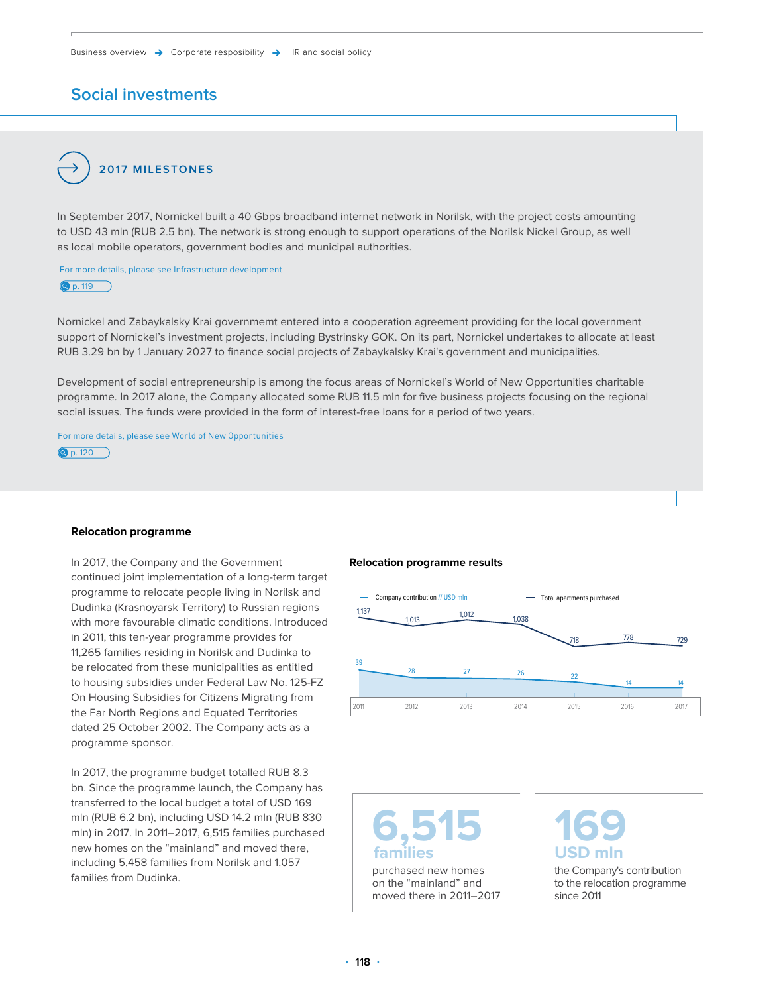### **Social investments**

### **2017 MILESTONES**

In September 2017, Nornickel built a 40 Gbps broadband internet network in Norilsk, with the project costs amounting to USD 43 mln (RUB 2.5 bn). The network is strong enough to support operations of the Norilsk Nickel Group, as well as local mobile operators, government bodies and municipal authorities.

For more details, please see Infrastructure development

**Q** [p. 119](#page-1-0)

Nornickel and Zabaykalsky Krai governmemt entered into a cooperation agreement providing for the local government support of Nornickel's investment projects, including Bystrinsky GOK. On its part, Nornickel undertakes to allocate at least RUB 3.29 bn by 1 January 2027 to finance social projects of Zabaykalsky Krai's government and municipalities.

Development of social entrepreneurship is among the focus areas of Nornickel's World of New Opportunities charitable programme. In 2017 alone, the Company allocated some RUB 11.5 mln for five business projects focusing on the regional social issues. The funds were provided in the form of interest-free loans for a period of two years.

For more details, please see World of New Opportunities  $\n **Q** p. 120\n$  $\n **Q** p. 120\n$  $\n **Q** p. 120\n$ 

#### **Relocation programme**

In 2017, the Company and the Government continued joint implementation of a long-term target programme to relocate people living in Norilsk and Dudinka (Krasnoyarsk Territory) to Russian regions with more favourable climatic conditions. Introduced in 2011, this ten-year programme provides for 11,265 families residing in Norilsk and Dudinka to be relocated from these municipalities as entitled to housing subsidies under Federal Law No. 125-FZ On Housing Subsidies for Citizens Migrating from the Far North Regions and Equated Territories dated 25 October 2002. The Company acts as a programme sponsor.

In 2017, the programme budget totalled RUB 8.3 bn. Since the programme launch, the Company has transferred to the local budget a total of USD 169 mln (RUB 6.2 bn), including USD 14.2 mln (RUB 830 mln) in 2017. In 2011–2017, 6,515 families purchased new homes on the "mainland" and moved there, including 5,458 families from Norilsk and 1,057 families from Dudinka.

#### **Relocation programme results**



**6,515 families** purchased new homes

on the "mainland" and moved there in 2011–2017 **169 USD mln**

the Company's contribution to the relocation programme since 2011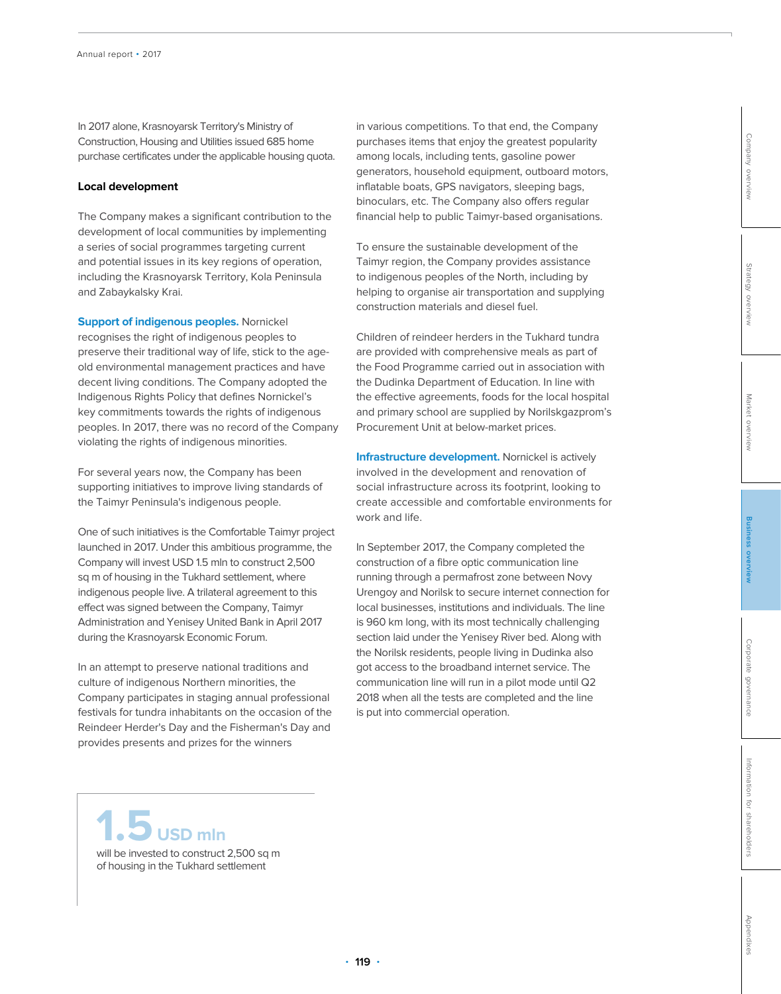<span id="page-1-0"></span>In 2017 alone, Krasnoyarsk Territory's Ministry of Construction, Housing and Utilities issued 685 home purchase certificates under the applicable housing quota.

### **Local development**

The Company makes a significant contribution to the development of local communities by implementing a series of social programmes targeting current and potential issues in its key regions of operation, including the Krasnoyarsk Territory, Kola Peninsula and Zabaykalsky Krai.

**Support of indigenous peoples.** Nornickel recognises the right of indigenous peoples to preserve their traditional way of life, stick to the ageold environmental management practices and have decent living conditions. The Company adopted the Indigenous Rights Policy that defines Nornickel's key commitments towards the rights of indigenous peoples. In 2017, there was no record of the Company violating the rights of indigenous minorities.

For several years now, the Company has been supporting initiatives to improve living standards of the Taimyr Peninsula's indigenous people.

One of such initiatives is the Comfortable Taimyr project launched in 2017. Under this ambitious programme, the Company will invest USD 1.5 mln to construct 2,500 sq m of housing in the Tukhard settlement, where indigenous people live. A trilateral agreement to this effect was signed between the Company, Taimyr Administration and Yenisey United Bank in April 2017 during the Krasnoyarsk Economic Forum.

In an attempt to preserve national traditions and culture of indigenous Northern minorities, the Company participates in staging annual professional festivals for tundra inhabitants on the occasion of the Reindeer Herder's Day and the Fisherman's Day and provides presents and prizes for the winners

in various competitions. To that end, the Company purchases items that enjoy the greatest popularity among locals, including tents, gasoline power generators, household equipment, outboard motors, inflatable boats, GPS navigators, sleeping bags, binoculars, etc. The Company also offers regular financial help to public Taimyr-based organisations.

To ensure the sustainable development of the Taimyr region, the Company provides assistance to indigenous peoples of the North, including by helping to organise air transportation and supplying construction materials and diesel fuel.

Children of reindeer herders in the Tukhard tundra are provided with comprehensive meals as part of the Food Programme carried out in association with the Dudinka Department of Education. In line with the effective agreements, foods for the local hospital and primary school are supplied by Norilskgazprom's Procurement Unit at below-market prices.

**Infrastructure development.** Nornickel is actively involved in the development and renovation of social infrastructure across its footprint, looking to create accessible and comfortable environments for work and life.

In September 2017, the Company completed the construction of a fibre optic communication line running through a permafrost zone between Novy Urengoy and Norilsk to secure internet connection for local businesses, institutions and individuals. The line is 960 km long, with its most technically challenging section laid under the Yenisey River bed. Along with the Norilsk residents, people living in Dudinka also got access to the broadband internet service. The communication line will run in a pilot mode until Q2 2018 when all the tests are completed and the line is put into commercial operation.

**1.5 USD mln**

will be invested to construct 2,500 sq m of housing in the Tukhard settlement

Strategy overview [Strategy overview](#page--1-0)

[Company overview](#page--1-0)

Company overview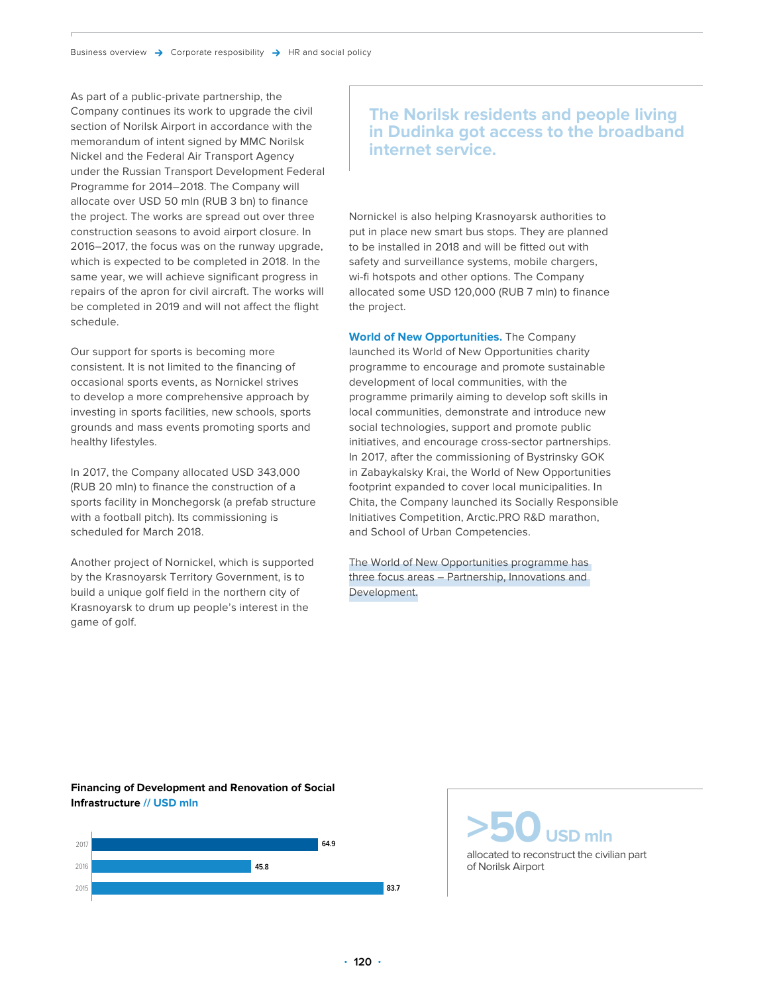<span id="page-2-0"></span>As part of a public-private partnership, the Company continues its work to upgrade the civil section of Norilsk Airport in accordance with the memorandum of intent signed by MMC Norilsk Nickel and the Federal Air Transport Agency under the Russian Transport Development Federal Programme for 2014–2018. The Company will allocate over USD 50 mln (RUB 3 bn) to finance the project. The works are spread out over three construction seasons to avoid airport closure. In 2016–2017, the focus was on the runway upgrade, which is expected to be completed in 2018. In the same year, we will achieve significant progress in repairs of the apron for civil aircraft. The works will be completed in 2019 and will not affect the flight schedule.

Our support for sports is becoming more consistent. It is not limited to the financing of occasional sports events, as Nornickel strives to develop a more comprehensive approach by investing in sports facilities, new schools, sports grounds and mass events promoting sports and healthy lifestyles.

In 2017, the Company allocated USD 343,000 (RUB 20 mln) to finance the construction of a sports facility in Monchegorsk (a prefab structure with a football pitch). Its commissioning is scheduled for March 2018.

Another project of Nornickel, which is supported by the Krasnoyarsk Territory Government, is to build a unique golf field in the northern city of Krasnoyarsk to drum up people's interest in the game of golf.

### **The Norilsk residents and people living in Dudinka got access to the broadband internet service.**

Nornickel is also helping Krasnoyarsk authorities to put in place new smart bus stops. They are planned to be installed in 2018 and will be fitted out with safety and surveillance systems, mobile chargers, wi-fi hotspots and other options. The Company allocated some USD 120,000 (RUB 7 mln) to finance the project.

**World of New Opportunities.** The Company launched its World of New Opportunities charity programme to encourage and promote sustainable development of local communities, with the programme primarily aiming to develop soft skills in local communities, demonstrate and introduce new social technologies, support and promote public initiatives, and encourage cross-sector partnerships. In 2017, after the commissioning of Bystrinsky GOK in Zabaykalsky Krai, the World of New Opportunities footprint expanded to cover local municipalities. In Chita, the Company launched its Socially Responsible Initiatives Competition, Arctic.PRO R&D marathon, and School of Urban Competencies.

The World of New Opportunities programme has three focus areas – Partnership, Innovations and Development.

**Financing of Development and Renovation of Social Infrastructure // USD mln**



**>50 USD mln**

allocated to reconstruct the civilian part of Norilsk Airport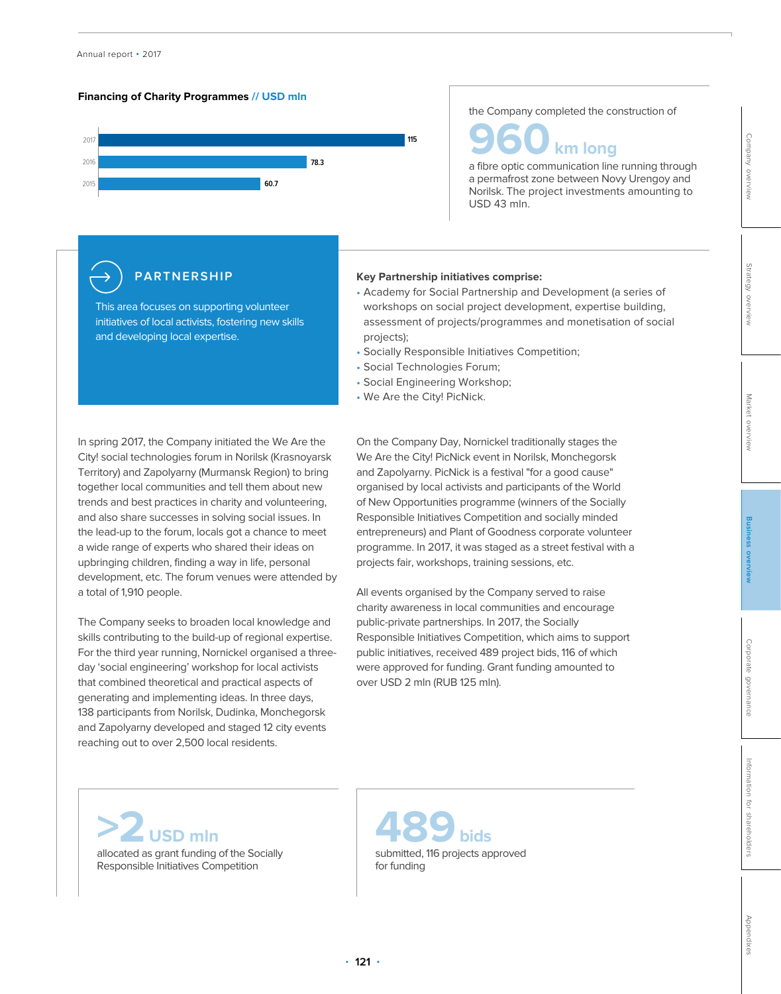



the Company completed the construction of

**960** km long<br>a fibre optic communication line running through

a permafrost zone between Novy Urengoy and Norilsk. The project investments amounting to USD 43 mln.

### **PARTNERSHIP**

This area focuses on supporting volunteer initiatives of local activists, fostering new skills and developing local expertise.

### In spring 2017, the Company initiated the We Are the City! social technologies forum in Norilsk (Krasnoyarsk Territory) and Zapolyarny (Murmansk Region) to bring together local communities and tell them about new trends and best practices in charity and volunteering, and also share successes in solving social issues. In the lead-up to the forum, locals got a chance to meet a wide range of experts who shared their ideas on upbringing children, finding a way in life, personal development, etc. The forum venues were attended by a total of 1,910 people.

The Company seeks to broaden local knowledge and skills contributing to the build-up of regional expertise. For the third year running, Nornickel organised a threeday 'social engineering' workshop for local activists that combined theoretical and practical aspects of generating and implementing ideas. In three days, 138 participants from Norilsk, Dudinka, Monchegorsk and Zapolyarny developed and staged 12 city events reaching out to over 2,500 local residents.

### **Key Partnership initiatives comprise:**

- Academy for Social Partnership and Development (a series of workshops on social project development, expertise building, assessment of projects/programmes and monetisation of social projects);
- Socially Responsible Initiatives Competition;
- Social Technologies Forum;
- Social Engineering Workshop;
- We Are the City! PicNick.

On the Company Day, Nornickel traditionally stages the We Are the City! PicNick event in Norilsk, Monchegorsk and Zapolyarny. PicNick is a festival "for a good cause" organised by local activists and participants of the World of New Opportunities programme (winners of the Socially Responsible Initiatives Competition and socially minded entrepreneurs) and Plant of Goodness corporate volunteer programme. In 2017, it was staged as a street festival with a projects fair, workshops, training sessions, etc.

All events organised by the Company served to raise charity awareness in local communities and encourage public-private partnerships. In 2017, the Socially Responsible Initiatives Competition, which aims to support public initiatives, received 489 project bids, 116 of which were approved for funding. Grant funding amounted to over USD 2 mln (RUB 125 mln).

**>2 USD mln** allocated as grant funding of the Socially Responsible Initiatives Competition

**489 bids** submitted, 116 projects approved for funding

[Company overview](#page--1-0)

Company overview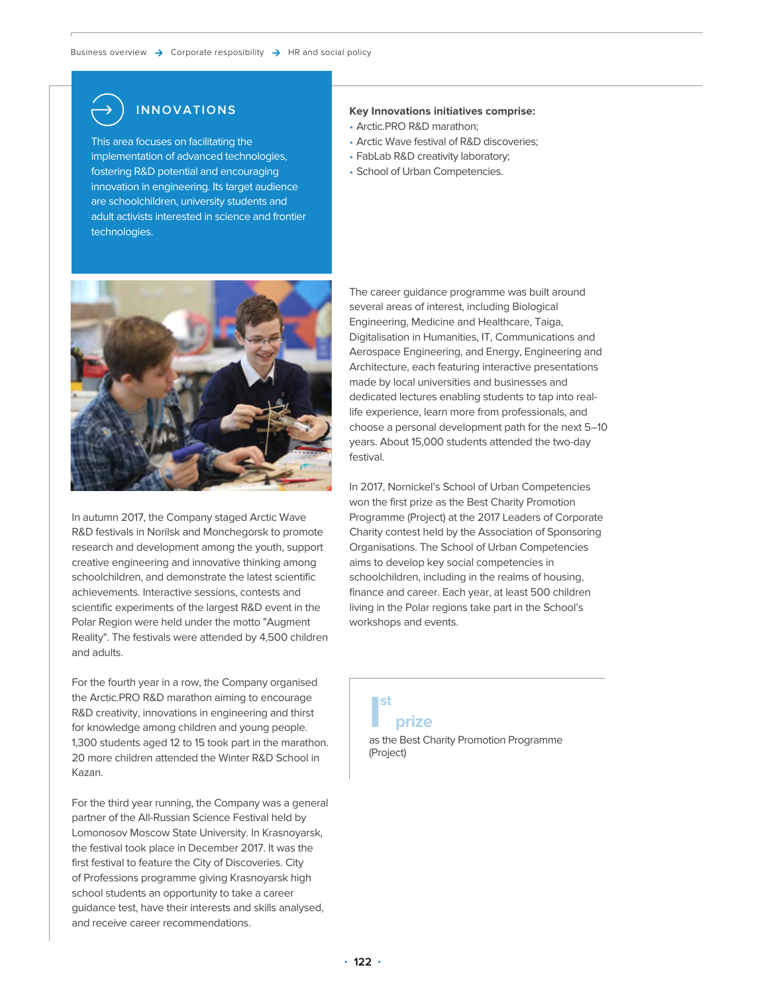## **INNOVATIONS**

This area focuses on facilitating the implementation of advanced technologies, fostering R&D potential and encouraging innovation in engineering. Its target audience are schoolchildren, university students and adult activists interested in science and frontier technologies.

### **Key Innovations initiatives comprise:**

- Arctic.PRO R&D marathon;
- Arctic Wave festival of R&D discoveries;
- FabLab R&D creativity laboratory;
- School of Urban Competencies.



In autumn 2017, the Company staged Arctic Wave R&D festivals in Norilsk and Monchegorsk to promote research and development among the youth, support creative engineering and innovative thinking among schoolchildren, and demonstrate the latest scientific achievements. Interactive sessions, contests and scientific experiments of the largest R&D event in the Polar Region were held under the motto "Augment Reality". The festivals were attended by 4,500 children and adults.

For the fourth year in a row, the Company organised the Arctic.PRO R&D marathon aiming to encourage R&D creativity, innovations in engineering and thirst for knowledge among children and young people. 1,300 students aged 12 to 15 took part in the marathon. 20 more children attended the Winter R&D School in Kazan.

For the third year running, the Company was a general partner of the All-Russian Science Festival held by Lomonosov Moscow State University. In Krasnoyarsk, the festival took place in December 2017. It was the first festival to feature the City of Discoveries. City of Professions programme giving Krasnoyarsk high school students an opportunity to take a career guidance test, have their interests and skills analysed, and receive career recommendations.

The career guidance programme was built around several areas of interest, including Biological Engineering, Medicine and Healthcare, Taiga, Digitalisation in Humanities, IT, Communications and Aerospace Engineering, and Energy, Engineering and Architecture, each featuring interactive presentations made by local universities and businesses and dedicated lectures enabling students to tap into reallife experience, learn more from professionals, and choose a personal development path for the next 5–10 years. About 15,000 students attended the two-day festival.

In 2017, Nornickel's School of Urban Competencies won the first prize as the Best Charity Promotion Programme (Project) at the 2017 Leaders of Corporate Charity contest held by the Association of Sponsoring Organisations. The School of Urban Competencies aims to develop key social competencies in schoolchildren, including in the realms of housing, finance and career. Each year, at least 500 children living in the Polar regions take part in the School's workshops and events.

### **I st prize**

as the Best Charity Promotion Programme (Project)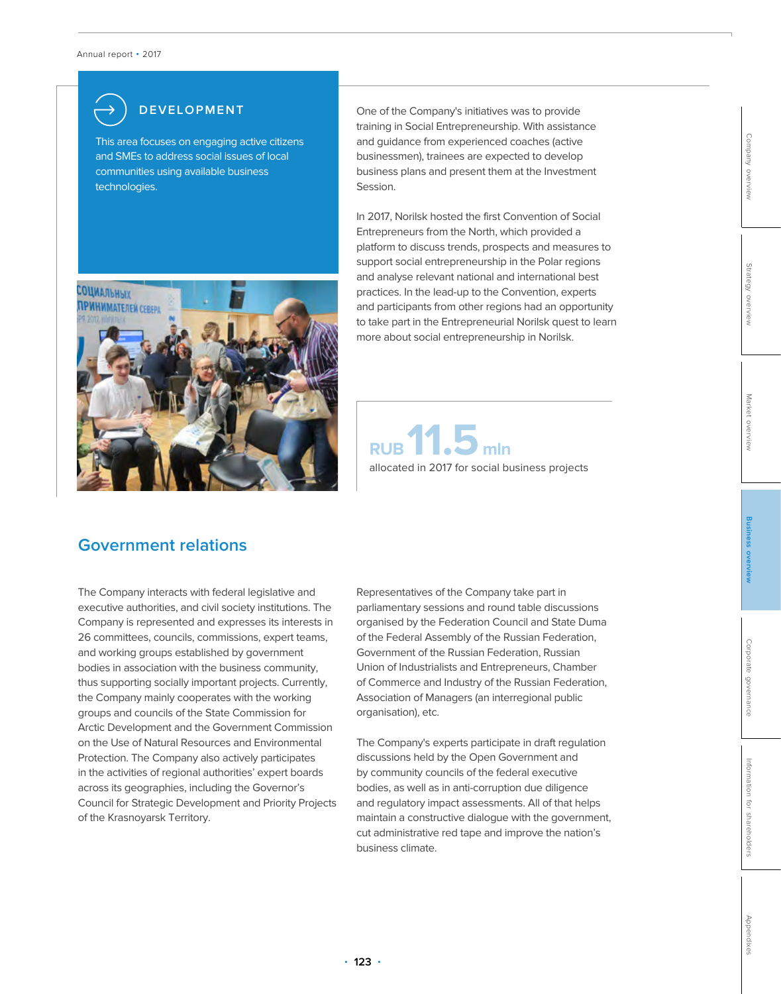

This area focuses on engaging active citizens and SMEs to address social issues of local communities using available business technologies.



**DEVELOPMENT** One of the Company's initiatives was to provide training in Social Entrepreneurship. With assistance and guidance from experienced coaches (active businessmen), trainees are expected to develop business plans and present them at the Investment Session.

> In 2017, Norilsk hosted the first Convention of Social Entrepreneurs from the North, which provided a platform to discuss trends, prospects and measures to support social entrepreneurship in the Polar regions and analyse relevant national and international best practices. In the lead-up to the Convention, experts and participants from other regions had an opportunity to take part in the Entrepreneurial Norilsk quest to learn more about social entrepreneurship in Norilsk.



### **Government relations**

The Company interacts with federal legislative and executive authorities, and civil society institutions. The Company is represented and expresses its interests in 26 committees, councils, commissions, expert teams, and working groups established by government bodies in association with the business community, thus supporting socially important projects. Currently, the Company mainly cooperates with the working groups and councils of the State Commission for Arctic Development and the Government Commission on the Use of Natural Resources and Environmental Protection. The Company also actively participates in the activities of regional authorities' expert boards across its geographies, including the Governor's Council for Strategic Development and Priority Projects of the Krasnoyarsk Territory.

Representatives of the Company take part in parliamentary sessions and round table discussions organised by the Federation Council and State Duma of the Federal Assembly of the Russian Federation, Government of the Russian Federation, Russian Union of Industrialists and Entrepreneurs, Chamber of Commerce and Industry of the Russian Federation, Association of Managers (an interregional public organisation), etc.

The Company's experts participate in draft regulation discussions held by the Open Government and by community councils of the federal executive bodies, as well as in anti-corruption due diligence and regulatory impact assessments. All of that helps maintain a constructive dialogue with the government, cut administrative red tape and improve the nation's business climate.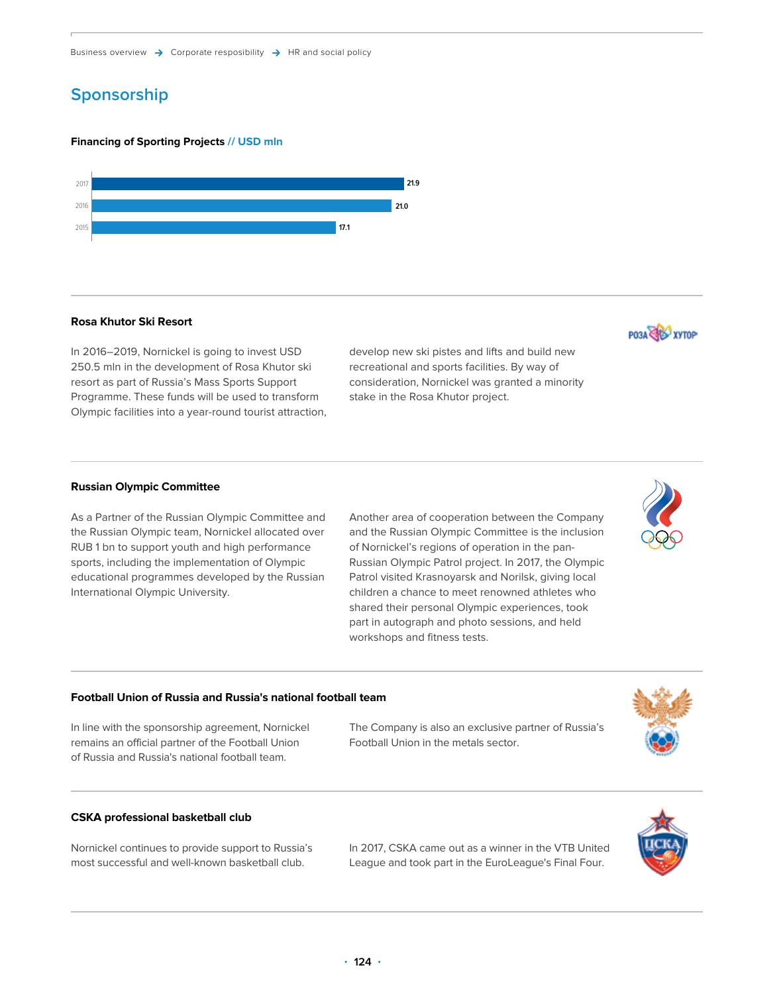# **Sponsorship** спортивных проектов, млн долл. США с проектов, млн должных проектов, млн должных проектов, млн дол

### **Financing of Sporting Projects // USD mln**



### **Rosa Khutor Ski Resort**

In 2016–2019, Nornickel is going to invest USD 250.5 mln in the development of Rosa Khutor ski resort as part of Russia's Mass Sports Support Programme. These funds will be used to transform Olympic facilities into a year-round tourist attraction, develop new ski pistes and lifts and build new recreational and sports facilities. By way of consideration, Nornickel was granted a minority stake in the Rosa Khutor project.

### **Russian Olympic Committee**

As a Partner of the Russian Olympic Committee and the Russian Olympic team, Nornickel allocated over RUB 1 bn to support youth and high performance sports, including the implementation of Olympic educational programmes developed by the Russian International Olympic University.

Another area of cooperation between the Company and the Russian Olympic Committee is the inclusion of Nornickel's regions of operation in the pan-Russian Olympic Patrol project. In 2017, the Olympic Patrol visited Krasnoyarsk and Norilsk, giving local children a chance to meet renowned athletes who shared their personal Olympic experiences, took part in autograph and photo sessions, and held workshops and fitness tests.

### **Football Union of Russia and Russia's national football team**

In line with the sponsorship agreement, Nornickel remains an official partner of the Football Union of Russia and Russia's national football team.

The Company is also an exclusive partner of Russia's Football Union in the metals sector.

### **CSKA professional basketball club**

Nornickel continues to provide support to Russia's most successful and well-known basketball club.

In 2017, CSKA came out as a winner in the VTB United League and took part in the EuroLeague's Final Four.









PO3A CAS XYTOP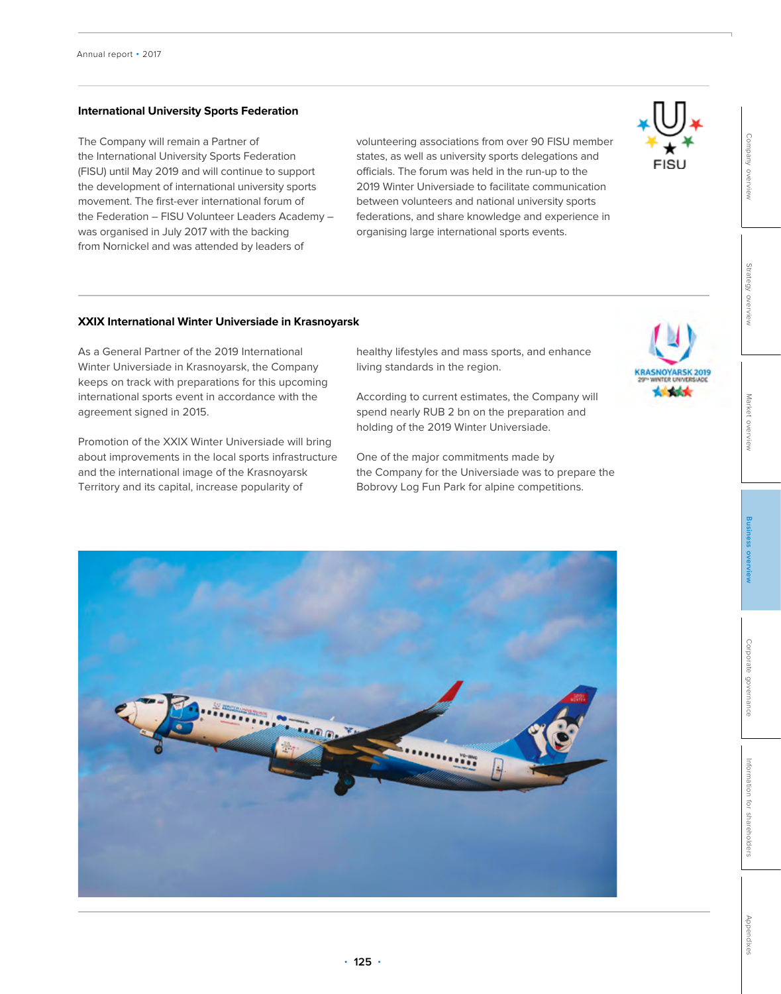### **International University Sports Federation**

The Company will remain a Partner of the International University Sports Federation (FISU) until May 2019 and will continue to support the development of international university sports movement. The first-ever international forum of the Federation – FISU Volunteer Leaders Academy – was organised in July 2017 with the backing from Nornickel and was attended by leaders of

volunteering associations from over 90 FISU member states, as well as university sports delegations and officials. The forum was held in the run-up to the 2019 Winter Universiade to facilitate communication between volunteers and national university sports federations, and share knowledge and experience in organising large international sports events.



# [Strategy overview](#page--1-0)

[Company overview](#page--1-0)

**Market** [Market overview](#page--1-0) overviev

**XXIX International Winter Universiade in Krasnoyarsk**

As a General Partner of the 2019 International Winter Universiade in Krasnoyarsk, the Company keeps on track with preparations for this upcoming international sports event in accordance with the agreement signed in 2015.

Promotion of the XXIX Winter Universiade will bring about improvements in the local sports infrastructure and the international image of the Krasnoyarsk Territory and its capital, increase popularity of

healthy lifestyles and mass sports, and enhance living standards in the region.

According to current estimates, the Company will spend nearly RUB 2 bn on the preparation and holding of the 2019 Winter Universiade.

One of the major commitments made by the Company for the Universiade was to prepare the Bobrovy Log Fun Park for alpine competitions.



[Appendixes](#page--1-0)

ppendixes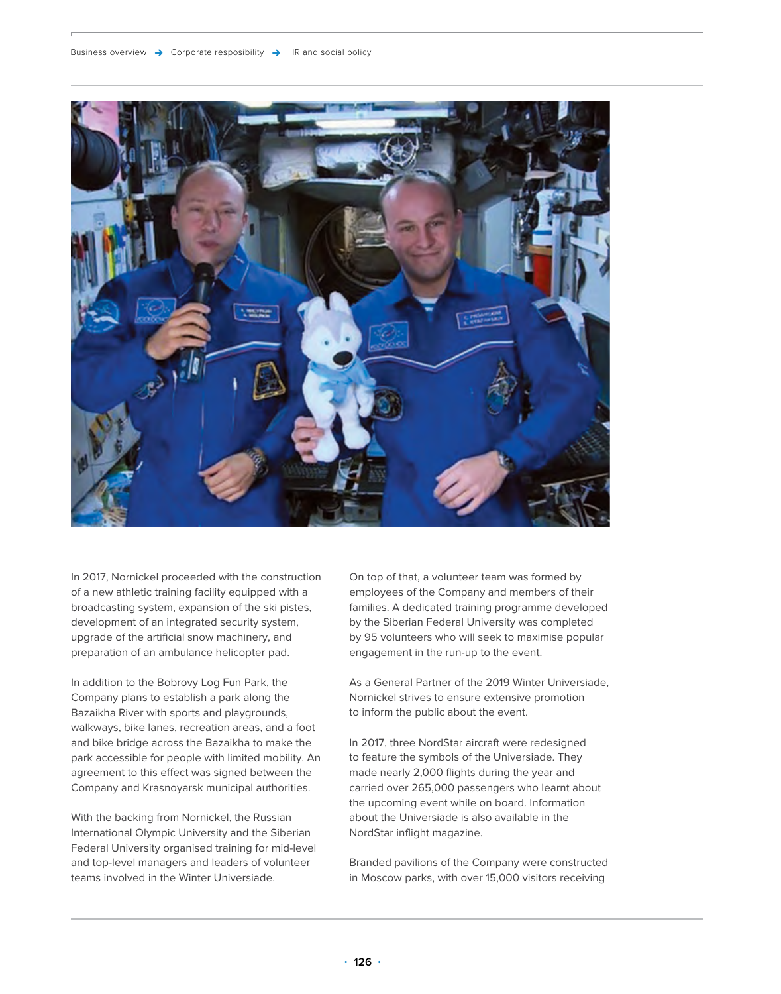

In 2017, Nornickel proceeded with the construction of a new athletic training facility equipped with a broadcasting system, expansion of the ski pistes, development of an integrated security system, upgrade of the artificial snow machinery, and preparation of an ambulance helicopter pad.

In addition to the Bobrovy Log Fun Park, the Company plans to establish a park along the Bazaikha River with sports and playgrounds, walkways, bike lanes, recreation areas, and a foot and bike bridge across the Bazaikha to make the park accessible for people with limited mobility. An agreement to this effect was signed between the Company and Krasnoyarsk municipal authorities.

With the backing from Nornickel, the Russian International Olympic University and the Siberian Federal University organised training for mid-level and top-level managers and leaders of volunteer teams involved in the Winter Universiade.

On top of that, a volunteer team was formed by employees of the Company and members of their families. A dedicated training programme developed by the Siberian Federal University was completed by 95 volunteers who will seek to maximise popular engagement in the run-up to the event.

As a General Partner of the 2019 Winter Universiade, Nornickel strives to ensure extensive promotion to inform the public about the event.

In 2017, three NordStar aircraft were redesigned to feature the symbols of the Universiade. They made nearly 2,000 flights during the year and carried over 265,000 passengers who learnt about the upcoming event while on board. Information about the Universiade is also available in the NordStar inflight magazine.

Branded pavilions of the Company were constructed in Moscow parks, with over 15,000 visitors receiving